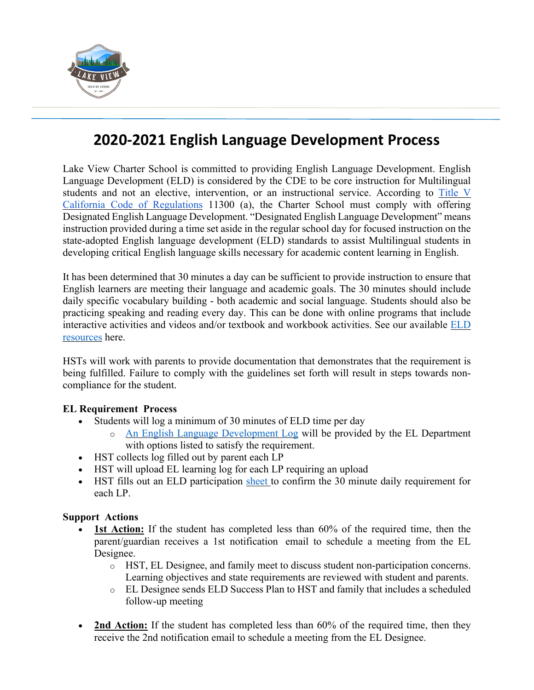

## **2020-2021 English Language Development Process**

Lake View Charter School is committed to providing English Language Development. English Language Development (ELD) is considered by the CDE to be core instruction for Multilingual students and not an elective, intervention, or an instructional service. According to Title V California Code of Regulations 11300 (a), the Charter School must comply with offering Designated English Language Development. "Designated English Language Development" means instruction provided during a time set aside in the regular school day for focused instruction on the state-adopted English language development (ELD) standards to assist Multilingual students in developing critical English language skills necessary for academic content learning in English.

It has been determined that 30 minutes a day can be sufficient to provide instruction to ensure that English learners are meeting their language and academic goals. The 30 minutes should include daily specific vocabulary building - both academic and social language. Students should also be practicing speaking and reading every day. This can be done with online programs that include interactive activities and videos and/or textbook and workbook activities. See our available ELD resources here.

HSTs will work with parents to provide documentation that demonstrates that the requirement is being fulfilled. Failure to comply with the guidelines set forth will result in steps towards noncompliance for the student.

## **EL Requirement Process**

- Students will log a minimum of 30 minutes of ELD time per day
	- o An English Language Development Log will be provided by the EL Department with options listed to satisfy the requirement.
- HST collects log filled out by parent each LP
- HST will upload EL learning log for each LP requiring an upload
- HST fills out an ELD participation sheet to confirm the 30 minute daily requirement for each LP.

## **Support Actions**

- **1st Action:** If the student has completed less than 60% of the required time, then the parent/guardian receives a 1st notification email to schedule a meeting from the EL Designee.
	- o HST, EL Designee, and family meet to discuss student non-participation concerns. Learning objectives and state requirements are reviewed with student and parents.
	- o EL Designee sends ELD Success Plan to HST and family that includes a scheduled follow-up meeting
- 2nd Action: If the student has completed less than 60% of the required time, then they receive the 2nd notification email to schedule a meeting from the EL Designee.